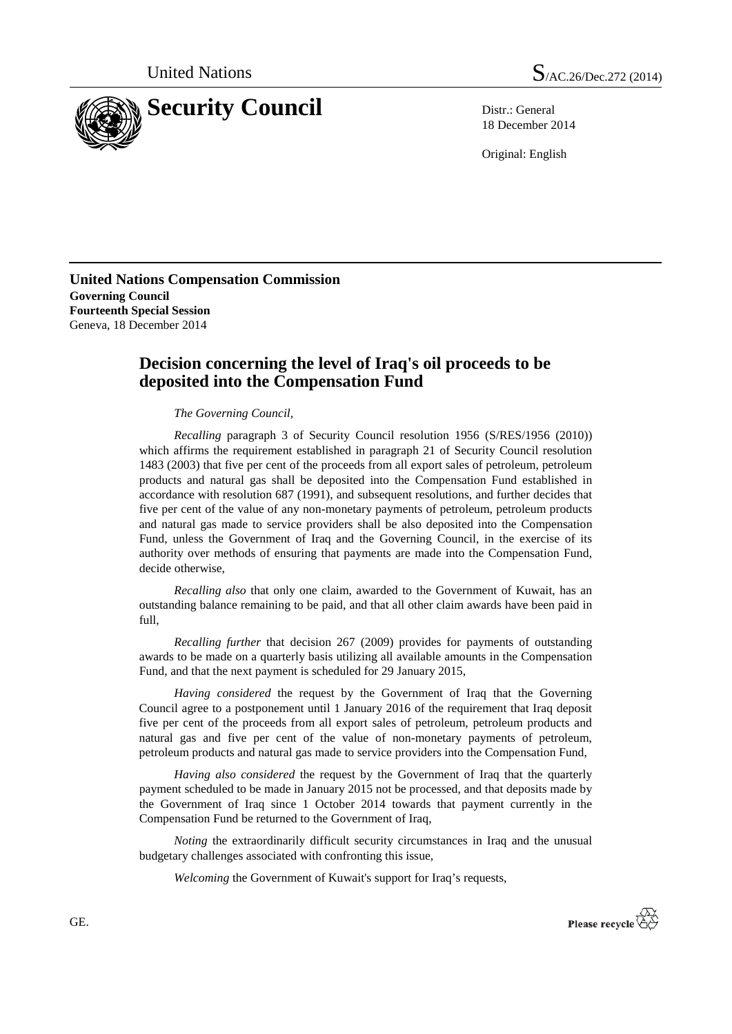



18 December 2014

Original: English

**United Nations Compensation Commission Governing Council Fourteenth Special Session** Geneva, 18 December 2014

## **Decision concerning the level of Iraq's oil proceeds to be deposited into the Compensation Fund**

*The Governing Council,*

*Recalling* paragraph 3 of Security Council resolution 1956 (S/RES/1956 (2010)) which affirms the requirement established in paragraph 21 of Security Council resolution 1483 (2003) that five per cent of the proceeds from all export sales of petroleum, petroleum products and natural gas shall be deposited into the Compensation Fund established in accordance with resolution 687 (1991), and subsequent resolutions, and further decides that five per cent of the value of any non-monetary payments of petroleum, petroleum products and natural gas made to service providers shall be also deposited into the Compensation Fund, unless the Government of Iraq and the Governing Council, in the exercise of its authority over methods of ensuring that payments are made into the Compensation Fund, decide otherwise,

*Recalling also* that only one claim, awarded to the Government of Kuwait, has an outstanding balance remaining to be paid, and that all other claim awards have been paid in full,

*Recalling further* that decision 267 (2009) provides for payments of outstanding awards to be made on a quarterly basis utilizing all available amounts in the Compensation Fund, and that the next payment is scheduled for 29 January 2015,

*Having considered* the request by the Government of Iraq that the Governing Council agree to a postponement until 1 January 2016 of the requirement that Iraq deposit five per cent of the proceeds from all export sales of petroleum, petroleum products and natural gas and five per cent of the value of non-monetary payments of petroleum, petroleum products and natural gas made to service providers into the Compensation Fund,

*Having also considered* the request by the Government of Iraq that the quarterly payment scheduled to be made in January 2015 not be processed, and that deposits made by the Government of Iraq since 1 October 2014 towards that payment currently in the Compensation Fund be returned to the Government of Iraq,

*Noting* the extraordinarily difficult security circumstances in Iraq and the unusual budgetary challenges associated with confronting this issue,

*Welcoming* the Government of Kuwait's support for Iraq's requests,